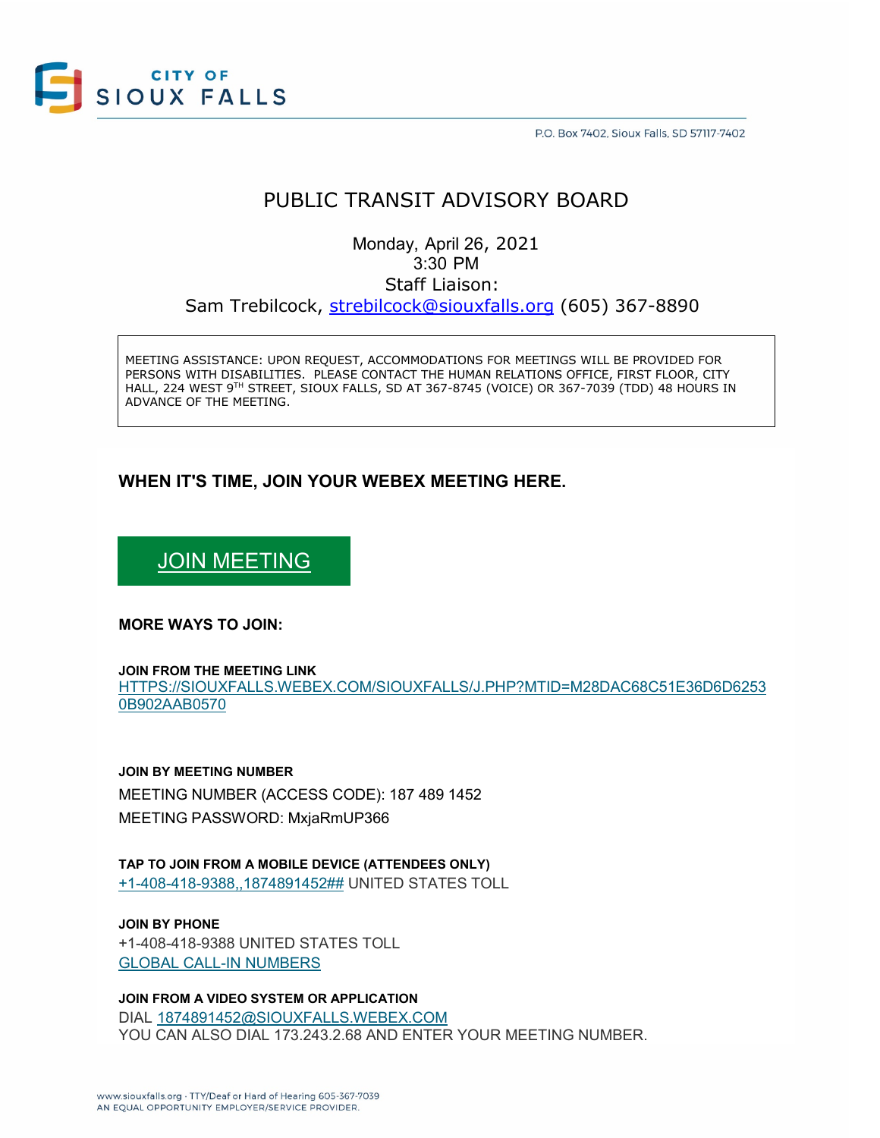

P.O. Box 7402, Sioux Falls, SD 57117-7402

# PUBLIC TRANSIT ADVISORY BOARD

Monday, April 26, 2021 3:30 PM Staff Liaison: Sam Trebilcock, [strebilcock@siouxfalls.org](mailto:strebilcock@siouxfalls.org) (605) 367-8890

MEETING ASSISTANCE: UPON REQUEST, ACCOMMODATIONS FOR MEETINGS WILL BE PROVIDED FOR PERSONS WITH DISABILITIES. PLEASE CONTACT THE HUMAN RELATIONS OFFICE, FIRST FLOOR, CITY HALL, 224 WEST 9TH STREET, SIOUX FALLS, SD AT 367-8745 (VOICE) OR 367-7039 (TDD) 48 HOURS IN ADVANCE OF THE MEETING.

# **WHEN IT'S TIME, JOIN YOUR WEBEX MEETING HERE.**

# [JOIN MEETING](https://siouxfalls.webex.com/siouxfalls/j.php?MTID=m28dac68c51e36d6d62530b902aab0570)

### **MORE WAYS TO JOIN:**

#### **JOIN FROM THE MEETING LINK**

[HTTPS://SIOUXFALLS.WEBEX.COM/SIOUXFALLS/J.PHP?MTID=M28DAC68C51E36D6D6253](https://siouxfalls.webex.com/siouxfalls/j.php?MTID=m28dac68c51e36d6d62530b902aab0570) [0B902AAB0570](https://siouxfalls.webex.com/siouxfalls/j.php?MTID=m28dac68c51e36d6d62530b902aab0570)

### **JOIN BY MEETING NUMBER**

MEETING NUMBER (ACCESS CODE): 187 489 1452 MEETING PASSWORD: MxjaRmUP366

## **TAP TO JOIN FROM A MOBILE DEVICE (ATTENDEES ONLY)** [+1-408-418-9388,,1874891452##](tel:%2B1-408-418-9388,,*01*1874891452%23%23*01*) UNITED STATES TOLL

**JOIN BY PHONE** +1-408-418-9388 UNITED STATES TOLL [GLOBAL CALL-IN NUMBERS](https://siouxfalls.webex.com/siouxfalls/globalcallin.php?MTID=mab00ec01119a25f6955a3f373cd7b599)

**JOIN FROM A VIDEO SYSTEM OR APPLICATION** DIAL [1874891452@SIOUXFALLS.WEBEX.COM](sip:1874891452@siouxfalls.webex.com) YOU CAN ALSO DIAL 173.243.2.68 AND ENTER YOUR MEETING NUMBER.